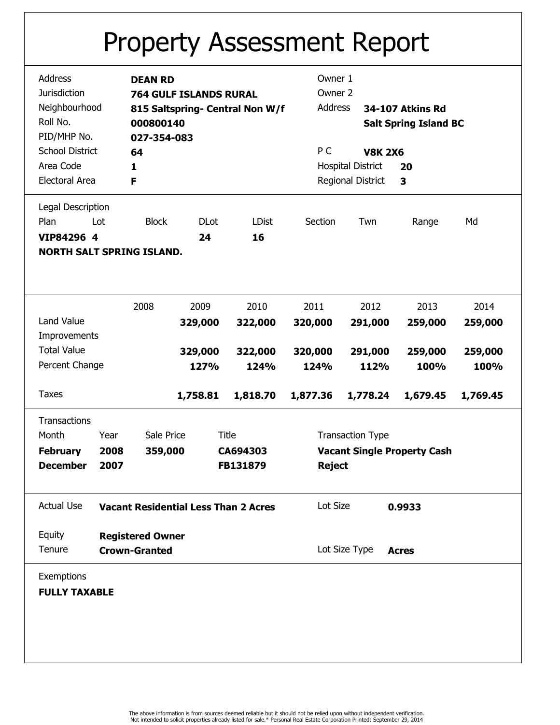## Property Assessment Report

| Address                          | <b>DEAN RD</b>                              |                                 |              | Owner 1                            |                                 |                              |          |  |
|----------------------------------|---------------------------------------------|---------------------------------|--------------|------------------------------------|---------------------------------|------------------------------|----------|--|
| <b>Jurisdiction</b>              |                                             | <b>764 GULF ISLANDS RURAL</b>   |              | Owner 2                            |                                 |                              |          |  |
| Neighbourhood                    |                                             | 815 Saltspring- Central Non W/f |              |                                    | Address                         | 34-107 Atkins Rd             |          |  |
| Roll No.                         | 000800140                                   |                                 |              |                                    |                                 | <b>Salt Spring Island BC</b> |          |  |
| PID/MHP No.                      |                                             | 027-354-083                     |              |                                    |                                 |                              |          |  |
| <b>School District</b>           | 64                                          |                                 |              |                                    | <b>V8K 2X6</b>                  |                              |          |  |
| Area Code                        |                                             |                                 |              |                                    | P C<br><b>Hospital District</b> |                              | 20       |  |
| <b>Electoral Area</b>            |                                             | 1                               |              |                                    | Regional District               |                              |          |  |
|                                  | F                                           |                                 |              |                                    |                                 | 3                            |          |  |
| Legal Description                |                                             |                                 |              |                                    |                                 |                              |          |  |
| Plan<br>Lot                      | <b>Block</b>                                | <b>DLot</b>                     | <b>LDist</b> | Section                            | Twn                             | Range                        | Md       |  |
| VIP84296 4                       |                                             | 24                              | 16           |                                    |                                 |                              |          |  |
|                                  |                                             |                                 |              |                                    |                                 |                              |          |  |
| <b>NORTH SALT SPRING ISLAND.</b> |                                             |                                 |              |                                    |                                 |                              |          |  |
|                                  |                                             |                                 |              |                                    |                                 |                              |          |  |
|                                  |                                             |                                 |              |                                    |                                 |                              |          |  |
|                                  | 2008                                        | 2009                            | 2010         | 2011                               | 2012                            | 2013                         | 2014     |  |
| <b>Land Value</b>                |                                             | 329,000                         | 322,000      | 320,000                            | 291,000                         | 259,000                      | 259,000  |  |
| Improvements                     |                                             |                                 |              |                                    |                                 |                              |          |  |
| <b>Total Value</b>               |                                             | 329,000                         | 322,000      | 320,000                            | 291,000                         | 259,000                      | 259,000  |  |
| Percent Change                   |                                             | 127%                            | 124%         | 124%                               | 112%                            | 100%                         | 100%     |  |
|                                  |                                             |                                 |              |                                    |                                 |                              |          |  |
| <b>Taxes</b>                     |                                             | 1,758.81                        | 1,818.70     | 1,877.36                           | 1,778.24                        | 1,679.45                     | 1,769.45 |  |
|                                  |                                             |                                 |              |                                    |                                 |                              |          |  |
| <b>Transactions</b>              |                                             |                                 |              |                                    |                                 |                              |          |  |
| Month                            | Year                                        | Sale Price                      | <b>Title</b> |                                    | <b>Transaction Type</b>         |                              |          |  |
| <b>February</b>                  | 2008                                        | 359,000<br>CA694303             |              | <b>Vacant Single Property Cash</b> |                                 |                              |          |  |
| <b>December</b>                  | 2007                                        | FB131879                        |              | <b>Reject</b>                      |                                 |                              |          |  |
|                                  |                                             |                                 |              |                                    |                                 |                              |          |  |
|                                  |                                             |                                 |              |                                    |                                 |                              |          |  |
| <b>Actual Use</b>                | <b>Vacant Residential Less Than 2 Acres</b> |                                 |              | Lot Size                           |                                 | 0.9933                       |          |  |
|                                  |                                             |                                 |              |                                    |                                 |                              |          |  |
| Equity                           | <b>Registered Owner</b>                     |                                 |              |                                    |                                 |                              |          |  |
| Tenure                           | <b>Crown-Granted</b>                        |                                 |              |                                    | Lot Size Type                   | <b>Acres</b>                 |          |  |
| Exemptions                       |                                             |                                 |              |                                    |                                 |                              |          |  |
| <b>FULLY TAXABLE</b>             |                                             |                                 |              |                                    |                                 |                              |          |  |
|                                  |                                             |                                 |              |                                    |                                 |                              |          |  |
|                                  |                                             |                                 |              |                                    |                                 |                              |          |  |
|                                  |                                             |                                 |              |                                    |                                 |                              |          |  |
|                                  |                                             |                                 |              |                                    |                                 |                              |          |  |
|                                  |                                             |                                 |              |                                    |                                 |                              |          |  |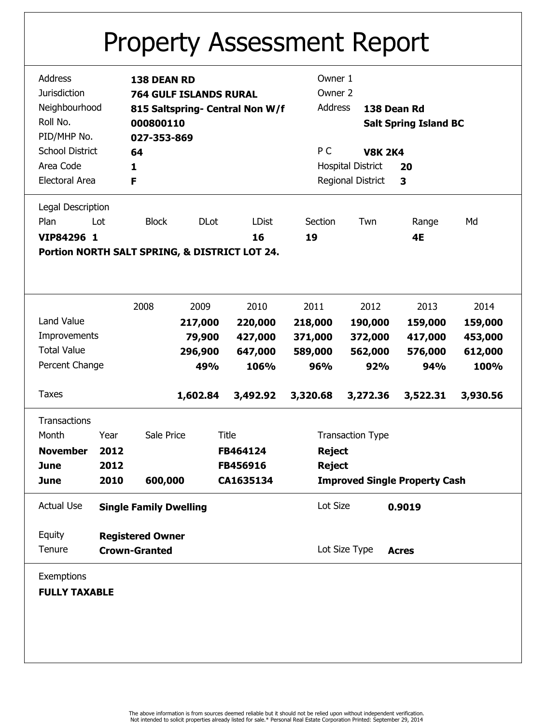## Property Assessment Report

|                     | Address                |                                                                      | 138 DEAN RD                   |             |                                               | Owner 1                  |                         |                              |          |  |
|---------------------|------------------------|----------------------------------------------------------------------|-------------------------------|-------------|-----------------------------------------------|--------------------------|-------------------------|------------------------------|----------|--|
| <b>Jurisdiction</b> |                        |                                                                      | <b>764 GULF ISLANDS RURAL</b> |             | Owner 2                                       |                          |                         |                              |          |  |
|                     | Neighbourhood          |                                                                      |                               |             | 815 Saltspring- Central Non W/f               | Address                  |                         | 138 Dean Rd                  |          |  |
|                     | Roll No.               |                                                                      |                               |             |                                               |                          |                         |                              |          |  |
|                     |                        |                                                                      | 000800110                     |             |                                               |                          |                         | <b>Salt Spring Island BC</b> |          |  |
|                     | PID/MHP No.            |                                                                      | 027-353-869                   |             |                                               |                          |                         |                              |          |  |
|                     | <b>School District</b> |                                                                      | 64                            |             |                                               | P C                      | <b>V8K 2K4</b>          |                              |          |  |
|                     | Area Code              |                                                                      | 1                             |             |                                               | <b>Hospital District</b> |                         | 20                           |          |  |
| Electoral Area      |                        | F                                                                    |                               |             |                                               | Regional District        | 3                       |                              |          |  |
|                     | Legal Description      |                                                                      |                               |             |                                               |                          |                         |                              |          |  |
|                     | Plan                   | Lot                                                                  | <b>Block</b>                  | <b>DLot</b> | <b>LDist</b>                                  | Section                  | Twn                     | Range                        | Md       |  |
|                     | VIP84296 1             |                                                                      |                               |             | 16                                            | 19                       |                         | 4E                           |          |  |
|                     |                        |                                                                      |                               |             | Portion NORTH SALT SPRING, & DISTRICT LOT 24. |                          |                         |                              |          |  |
|                     |                        |                                                                      |                               |             |                                               |                          |                         |                              |          |  |
|                     |                        |                                                                      |                               |             |                                               |                          |                         |                              |          |  |
|                     |                        |                                                                      |                               |             |                                               |                          |                         |                              |          |  |
|                     |                        |                                                                      | 2008                          | 2009        | 2010                                          | 2011                     | 2012                    | 2013                         | 2014     |  |
|                     | Land Value             |                                                                      |                               | 217,000     | 220,000                                       | 218,000                  | 190,000                 | 159,000                      | 159,000  |  |
| Improvements        |                        |                                                                      | 79,900                        | 427,000     | 371,000                                       | 372,000                  | 417,000                 | 453,000                      |          |  |
| <b>Total Value</b>  |                        |                                                                      | 296,900                       | 647,000     | 589,000                                       | 562,000                  | 576,000                 | 612,000                      |          |  |
| Percent Change      |                        |                                                                      | 49%                           | 106%        | 96%                                           | 92%                      | 94%                     | 100%                         |          |  |
|                     |                        |                                                                      |                               |             |                                               |                          |                         |                              |          |  |
|                     | <b>Taxes</b>           |                                                                      |                               | 1,602.84    | 3,492.92                                      | 3,320.68                 | 3,272.36                | 3,522.31                     | 3,930.56 |  |
|                     | <b>Transactions</b>    |                                                                      |                               |             |                                               |                          |                         |                              |          |  |
|                     | Month                  | Year                                                                 | Sale Price                    |             | <b>Title</b>                                  |                          | <b>Transaction Type</b> |                              |          |  |
| <b>November</b>     |                        | 2012                                                                 |                               |             | FB464124                                      |                          | <b>Reject</b>           |                              |          |  |
|                     | June                   | 2012                                                                 |                               |             | FB456916                                      | <b>Reject</b>            |                         |                              |          |  |
|                     |                        |                                                                      |                               |             |                                               |                          |                         |                              |          |  |
|                     | <b>June</b>            | 600,000<br><b>Improved Single Property Cash</b><br>2010<br>CA1635134 |                               |             |                                               |                          |                         |                              |          |  |
|                     | <b>Actual Use</b>      |                                                                      | <b>Single Family Dwelling</b> |             |                                               | Lot Size                 |                         | 0.9019                       |          |  |
|                     | Equity                 |                                                                      | <b>Registered Owner</b>       |             |                                               |                          |                         |                              |          |  |
|                     | Tenure                 |                                                                      |                               |             |                                               |                          | Lot Size Type           |                              |          |  |
|                     |                        |                                                                      | <b>Crown-Granted</b>          |             |                                               |                          |                         | <b>Acres</b>                 |          |  |
|                     | Exemptions             |                                                                      |                               |             |                                               |                          |                         |                              |          |  |
|                     | <b>FULLY TAXABLE</b>   |                                                                      |                               |             |                                               |                          |                         |                              |          |  |
|                     |                        |                                                                      |                               |             |                                               |                          |                         |                              |          |  |
|                     |                        |                                                                      |                               |             |                                               |                          |                         |                              |          |  |
|                     |                        |                                                                      |                               |             |                                               |                          |                         |                              |          |  |
|                     |                        |                                                                      |                               |             |                                               |                          |                         |                              |          |  |
|                     |                        |                                                                      |                               |             |                                               |                          |                         |                              |          |  |
|                     |                        |                                                                      |                               |             |                                               |                          |                         |                              |          |  |